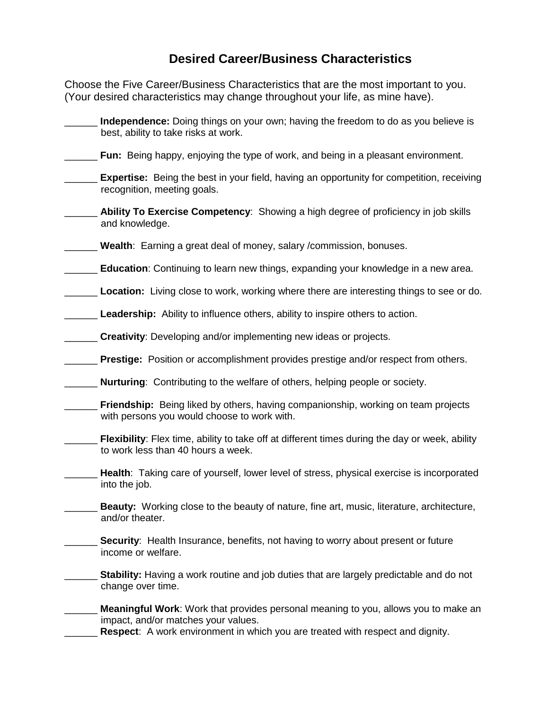## **Desired Career/Business Characteristics**

Choose the Five Career/Business Characteristics that are the most important to you. (Your desired characteristics may change throughout your life, as mine have).

| best, ability to take risks at work.        | Independence: Doing things on your own; having the freedom to do as you believe is                                                                                          |
|---------------------------------------------|-----------------------------------------------------------------------------------------------------------------------------------------------------------------------------|
|                                             | <b>Fun:</b> Being happy, enjoying the type of work, and being in a pleasant environment.                                                                                    |
| recognition, meeting goals.                 | <b>Expertise:</b> Being the best in your field, having an opportunity for competition, receiving                                                                            |
| and knowledge.                              | Ability To Exercise Competency: Showing a high degree of proficiency in job skills                                                                                          |
|                                             | Wealth: Earning a great deal of money, salary / commission, bonuses.                                                                                                        |
|                                             | Education: Continuing to learn new things, expanding your knowledge in a new area.                                                                                          |
|                                             | Location: Living close to work, working where there are interesting things to see or do.                                                                                    |
|                                             | Leadership: Ability to influence others, ability to inspire others to action.                                                                                               |
|                                             | <b>Creativity:</b> Developing and/or implementing new ideas or projects.                                                                                                    |
|                                             | <b>Prestige:</b> Position or accomplishment provides prestige and/or respect from others.                                                                                   |
|                                             | <b>Nurturing:</b> Contributing to the welfare of others, helping people or society.                                                                                         |
| with persons you would choose to work with. | Friendship: Being liked by others, having companionship, working on team projects                                                                                           |
| to work less than 40 hours a week.          | Flexibility: Flex time, ability to take off at different times during the day or week, ability                                                                              |
| into the job.                               | Health: Taking care of yourself, lower level of stress, physical exercise is incorporated                                                                                   |
| and/or theater.                             | Beauty: Working close to the beauty of nature, fine art, music, literature, architecture,                                                                                   |
| income or welfare.                          | <b>Security:</b> Health Insurance, benefits, not having to worry about present or future                                                                                    |
| change over time.                           | Stability: Having a work routine and job duties that are largely predictable and do not                                                                                     |
| impact, and/or matches your values.         | <b>Meaningful Work:</b> Work that provides personal meaning to you, allows you to make an<br>Respect: A work environment in which you are treated with respect and dignity. |